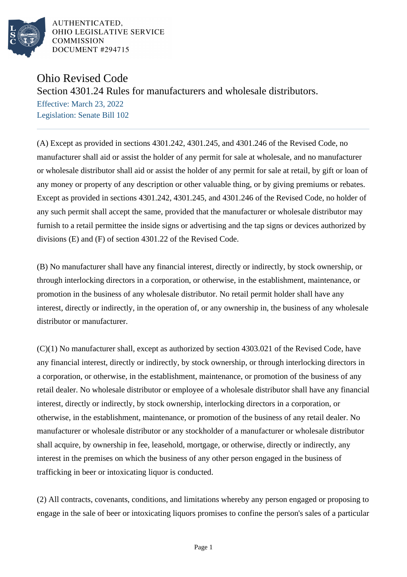

AUTHENTICATED. OHIO LEGISLATIVE SERVICE **COMMISSION** DOCUMENT #294715

## Ohio Revised Code

Section 4301.24 Rules for manufacturers and wholesale distributors.

Effective: March 23, 2022 Legislation: Senate Bill 102

(A) Except as provided in sections 4301.242, 4301.245, and 4301.246 of the Revised Code, no manufacturer shall aid or assist the holder of any permit for sale at wholesale, and no manufacturer or wholesale distributor shall aid or assist the holder of any permit for sale at retail, by gift or loan of any money or property of any description or other valuable thing, or by giving premiums or rebates. Except as provided in sections 4301.242, 4301.245, and 4301.246 of the Revised Code, no holder of any such permit shall accept the same, provided that the manufacturer or wholesale distributor may furnish to a retail permittee the inside signs or advertising and the tap signs or devices authorized by divisions (E) and (F) of section 4301.22 of the Revised Code.

(B) No manufacturer shall have any financial interest, directly or indirectly, by stock ownership, or through interlocking directors in a corporation, or otherwise, in the establishment, maintenance, or promotion in the business of any wholesale distributor. No retail permit holder shall have any interest, directly or indirectly, in the operation of, or any ownership in, the business of any wholesale distributor or manufacturer.

(C)(1) No manufacturer shall, except as authorized by section 4303.021 of the Revised Code, have any financial interest, directly or indirectly, by stock ownership, or through interlocking directors in a corporation, or otherwise, in the establishment, maintenance, or promotion of the business of any retail dealer. No wholesale distributor or employee of a wholesale distributor shall have any financial interest, directly or indirectly, by stock ownership, interlocking directors in a corporation, or otherwise, in the establishment, maintenance, or promotion of the business of any retail dealer. No manufacturer or wholesale distributor or any stockholder of a manufacturer or wholesale distributor shall acquire, by ownership in fee, leasehold, mortgage, or otherwise, directly or indirectly, any interest in the premises on which the business of any other person engaged in the business of trafficking in beer or intoxicating liquor is conducted.

(2) All contracts, covenants, conditions, and limitations whereby any person engaged or proposing to engage in the sale of beer or intoxicating liquors promises to confine the person's sales of a particular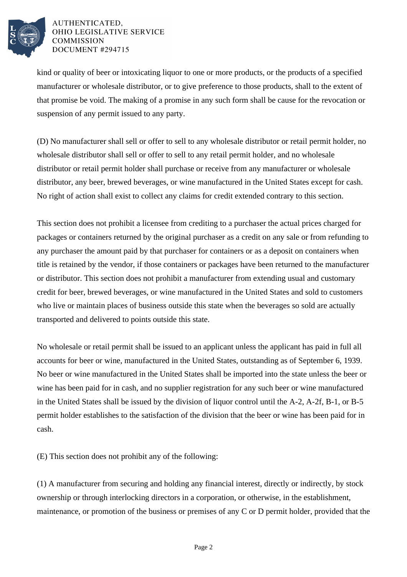

## AUTHENTICATED, OHIO LEGISLATIVE SERVICE **COMMISSION** DOCUMENT #294715

kind or quality of beer or intoxicating liquor to one or more products, or the products of a specified manufacturer or wholesale distributor, or to give preference to those products, shall to the extent of that promise be void. The making of a promise in any such form shall be cause for the revocation or suspension of any permit issued to any party.

(D) No manufacturer shall sell or offer to sell to any wholesale distributor or retail permit holder, no wholesale distributor shall sell or offer to sell to any retail permit holder, and no wholesale distributor or retail permit holder shall purchase or receive from any manufacturer or wholesale distributor, any beer, brewed beverages, or wine manufactured in the United States except for cash. No right of action shall exist to collect any claims for credit extended contrary to this section.

This section does not prohibit a licensee from crediting to a purchaser the actual prices charged for packages or containers returned by the original purchaser as a credit on any sale or from refunding to any purchaser the amount paid by that purchaser for containers or as a deposit on containers when title is retained by the vendor, if those containers or packages have been returned to the manufacturer or distributor. This section does not prohibit a manufacturer from extending usual and customary credit for beer, brewed beverages, or wine manufactured in the United States and sold to customers who live or maintain places of business outside this state when the beverages so sold are actually transported and delivered to points outside this state.

No wholesale or retail permit shall be issued to an applicant unless the applicant has paid in full all accounts for beer or wine, manufactured in the United States, outstanding as of September 6, 1939. No beer or wine manufactured in the United States shall be imported into the state unless the beer or wine has been paid for in cash, and no supplier registration for any such beer or wine manufactured in the United States shall be issued by the division of liquor control until the A-2, A-2f, B-1, or B-5 permit holder establishes to the satisfaction of the division that the beer or wine has been paid for in cash.

(E) This section does not prohibit any of the following:

(1) A manufacturer from securing and holding any financial interest, directly or indirectly, by stock ownership or through interlocking directors in a corporation, or otherwise, in the establishment, maintenance, or promotion of the business or premises of any C or D permit holder, provided that the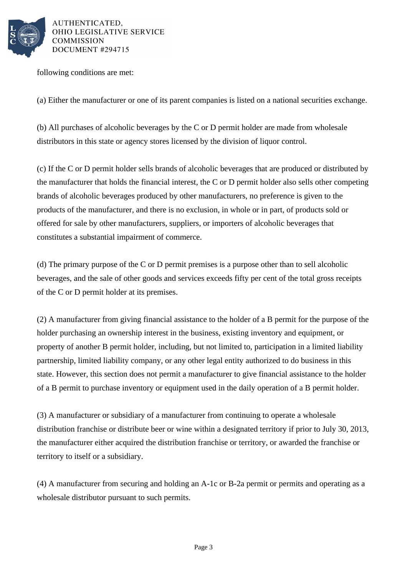

AUTHENTICATED, OHIO LEGISLATIVE SERVICE **COMMISSION** DOCUMENT #294715

following conditions are met:

(a) Either the manufacturer or one of its parent companies is listed on a national securities exchange.

(b) All purchases of alcoholic beverages by the C or D permit holder are made from wholesale distributors in this state or agency stores licensed by the division of liquor control.

(c) If the C or D permit holder sells brands of alcoholic beverages that are produced or distributed by the manufacturer that holds the financial interest, the C or D permit holder also sells other competing brands of alcoholic beverages produced by other manufacturers, no preference is given to the products of the manufacturer, and there is no exclusion, in whole or in part, of products sold or offered for sale by other manufacturers, suppliers, or importers of alcoholic beverages that constitutes a substantial impairment of commerce.

(d) The primary purpose of the C or D permit premises is a purpose other than to sell alcoholic beverages, and the sale of other goods and services exceeds fifty per cent of the total gross receipts of the C or D permit holder at its premises.

(2) A manufacturer from giving financial assistance to the holder of a B permit for the purpose of the holder purchasing an ownership interest in the business, existing inventory and equipment, or property of another B permit holder, including, but not limited to, participation in a limited liability partnership, limited liability company, or any other legal entity authorized to do business in this state. However, this section does not permit a manufacturer to give financial assistance to the holder of a B permit to purchase inventory or equipment used in the daily operation of a B permit holder.

(3) A manufacturer or subsidiary of a manufacturer from continuing to operate a wholesale distribution franchise or distribute beer or wine within a designated territory if prior to July 30, 2013, the manufacturer either acquired the distribution franchise or territory, or awarded the franchise or territory to itself or a subsidiary.

(4) A manufacturer from securing and holding an A-1c or B-2a permit or permits and operating as a wholesale distributor pursuant to such permits.